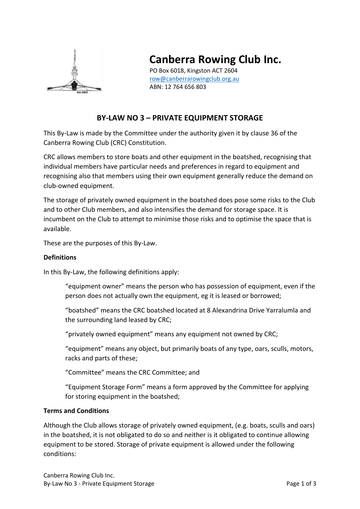

# **Canberra Rowing Club Inc.**

PO Box 6018, Kingston ACT 2604 [row@canberrarowingclub.org.au](mailto:row@canberrarowingclub.org.au) ABN: 12 764 656 803

# **BY-LAW NO 3 – PRIVATE EQUIPMENT STORAGE**

This By-Law is made by the Committee under the authority given it by clause 36 of the Canberra Rowing Club (CRC) Constitution.

CRC allows members to store boats and other equipment in the boatshed, recognising that individual members have particular needs and preferences in regard to equipment and recognising also that members using their own equipment generally reduce the demand on club-owned equipment.

The storage of privately owned equipment in the boatshed does pose some risks to the Club and to other Club members, and also intensifies the demand for storage space. It is incumbent on the Club to attempt to minimise those risks and to optimise the space that is available.

These are the purposes of this By-Law.

## **Definitions**

In this By-Law, the following definitions apply:

"equipment owner" means the person who has possession of equipment, even if the person does not actually own the equipment, eg it is leased or borrowed;

"boatshed" means the CRC boatshed located at 8 Alexandrina Drive Yarralumla and the surrounding land leased by CRC;

"privately owned equipment" means any equipment not owned by CRC;

"equipment" means any object, but primarily boats of any type, oars, sculls, motors, racks and parts of these;

"Committee" means the CRC Committee; and

"Equipment Storage Form" means a form approved by the Committee for applying for storing equipment in the boatshed;

#### **Terms and Conditions**

Although the Club allows storage of privately owned equipment, (e.g. boats, sculls and oars) in the boatshed, it is not obligated to do so and neither is it obligated to continue allowing equipment to be stored. Storage of private equipment is allowed under the following conditions: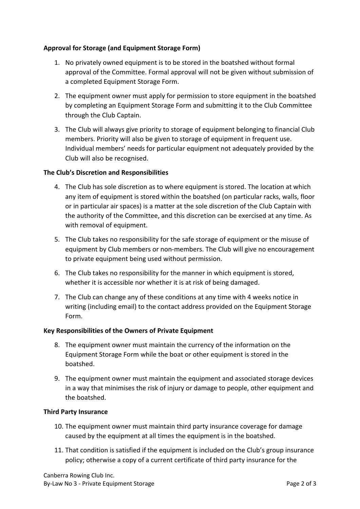# **Approval for Storage (and Equipment Storage Form)**

- 1. No privately owned equipment is to be stored in the boatshed without formal approval of the Committee. Formal approval will not be given without submission of a completed Equipment Storage Form.
- 2. The equipment owner must apply for permission to store equipment in the boatshed by completing an Equipment Storage Form and submitting it to the Club Committee through the Club Captain.
- 3. The Club will always give priority to storage of equipment belonging to financial Club members. Priority will also be given to storage of equipment in frequent use. Individual members' needs for particular equipment not adequately provided by the Club will also be recognised.

#### **The Club's Discretion and Responsibilities**

- 4. The Club has sole discretion as to where equipment is stored. The location at which any item of equipment is stored within the boatshed (on particular racks, walls, floor or in particular air spaces) is a matter at the sole discretion of the Club Captain with the authority of the Committee, and this discretion can be exercised at any time. As with removal of equipment.
- 5. The Club takes no responsibility for the safe storage of equipment or the misuse of equipment by Club members or non-members. The Club will give no encouragement to private equipment being used without permission.
- 6. The Club takes no responsibility for the manner in which equipment is stored, whether it is accessible nor whether it is at risk of being damaged.
- 7. The Club can change any of these conditions at any time with 4 weeks notice in writing (including email) to the contact address provided on the Equipment Storage Form.

#### **Key Responsibilities of the Owners of Private Equipment**

- 8. The equipment owner must maintain the currency of the information on the Equipment Storage Form while the boat or other equipment is stored in the boatshed.
- 9. The equipment owner must maintain the equipment and associated storage devices in a way that minimises the risk of injury or damage to people, other equipment and the boatshed.

#### **Third Party Insurance**

- 10. The equipment owner must maintain third party insurance coverage for damage caused by the equipment at all times the equipment is in the boatshed.
- 11. That condition is satisfied if the equipment is included on the Club's group insurance policy; otherwise a copy of a current certificate of third party insurance for the